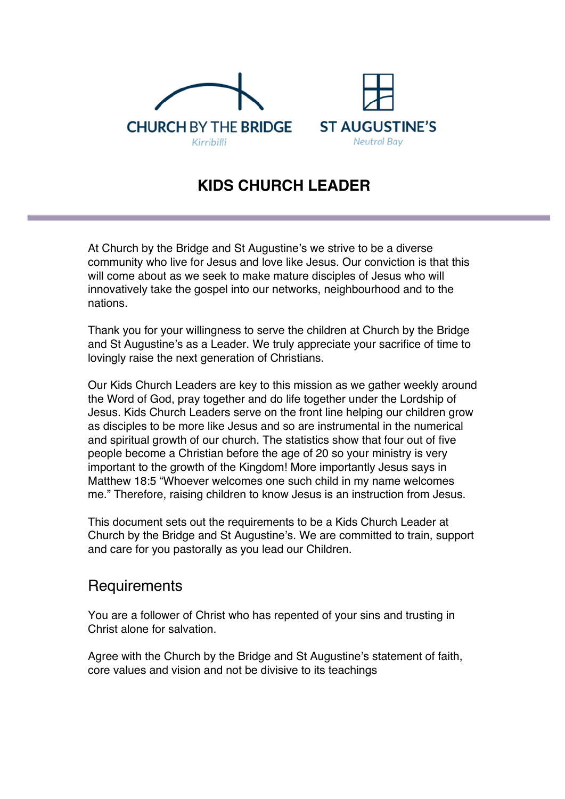



## **KIDS CHURCH LEADER**

At Church by the Bridge and St Augustine's we strive to be a diverse community who live for Jesus and love like Jesus. Our conviction is that this will come about as we seek to make mature disciples of Jesus who will innovatively take the gospel into our networks, neighbourhood and to the nations.

Thank you for your willingness to serve the children at Church by the Bridge and St Augustine's as a Leader. We truly appreciate your sacrifice of time to lovingly raise the next generation of Christians.

Our Kids Church Leaders are key to this mission as we gather weekly around the Word of God, pray together and do life together under the Lordship of Jesus. Kids Church Leaders serve on the front line helping our children grow as disciples to be more like Jesus and so are instrumental in the numerical and spiritual growth of our church. The statistics show that four out of five people become a Christian before the age of 20 so your ministry is very important to the growth of the Kingdom! More importantly Jesus says in Matthew 18:5 "Whoever welcomes one such child in my name welcomes me." Therefore, raising children to know Jesus is an instruction from Jesus.

This document sets out the requirements to be a Kids Church Leader at Church by the Bridge and St Augustine's. We are committed to train, support and care for you pastorally as you lead our Children.

## **Requirements**

You are a follower of Christ who has repented of your sins and trusting in Christ alone for salvation.

Agree with the Church by the Bridge and St Augustine's statement of faith, core values and vision and not be divisive to its teachings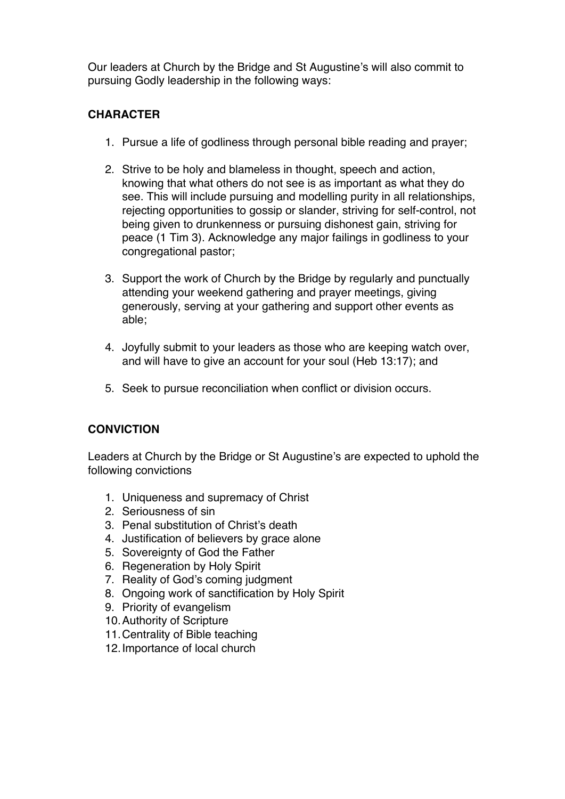Our leaders at Church by the Bridge and St Augustine's will also commit to pursuing Godly leadership in the following ways:

### **CHARACTER**

- 1. Pursue a life of godliness through personal bible reading and prayer;
- 2. Strive to be holy and blameless in thought, speech and action, knowing that what others do not see is as important as what they do see. This will include pursuing and modelling purity in all relationships, rejecting opportunities to gossip or slander, striving for self-control, not being given to drunkenness or pursuing dishonest gain, striving for peace (1 Tim 3). Acknowledge any major failings in godliness to your congregational pastor;
- 3. Support the work of Church by the Bridge by regularly and punctually attending your weekend gathering and prayer meetings, giving generously, serving at your gathering and support other events as able;
- 4. Joyfully submit to your leaders as those who are keeping watch over, and will have to give an account for your soul (Heb 13:17); and
- 5. Seek to pursue reconciliation when conflict or division occurs.

## **CONVICTION**

Leaders at Church by the Bridge or St Augustine's are expected to uphold the following convictions

- 1. Uniqueness and supremacy of Christ
- 2. Seriousness of sin
- 3. Penal substitution of Christ's death
- 4. Justification of believers by grace alone
- 5. Sovereignty of God the Father
- 6. Regeneration by Holy Spirit
- 7. Reality of God's coming judgment
- 8. Ongoing work of sanctification by Holy Spirit
- 9. Priority of evangelism
- 10.Authority of Scripture
- 11.Centrality of Bible teaching
- 12.Importance of local church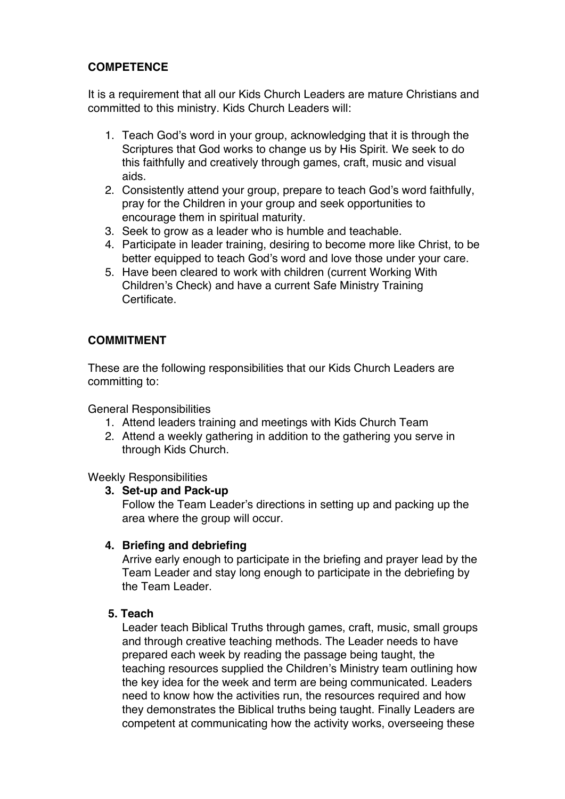## **COMPETENCE**

It is a requirement that all our Kids Church Leaders are mature Christians and committed to this ministry. Kids Church Leaders will:

- 1. Teach God's word in your group, acknowledging that it is through the Scriptures that God works to change us by His Spirit. We seek to do this faithfully and creatively through games, craft, music and visual aids.
- 2. Consistently attend your group, prepare to teach God's word faithfully, pray for the Children in your group and seek opportunities to encourage them in spiritual maturity.
- 3. Seek to grow as a leader who is humble and teachable.
- 4. Participate in leader training, desiring to become more like Christ, to be better equipped to teach God's word and love those under your care.
- 5. Have been cleared to work with children (current Working With Children's Check) and have a current Safe Ministry Training Certificate.

### **COMMITMENT**

These are the following responsibilities that our Kids Church Leaders are committing to:

General Responsibilities

- 1. Attend leaders training and meetings with Kids Church Team
- 2. Attend a weekly gathering in addition to the gathering you serve in through Kids Church.

Weekly Responsibilities

#### **3. Set-up and Pack-up**

Follow the Team Leader's directions in setting up and packing up the area where the group will occur.

#### **4. Briefing and debriefing**

Arrive early enough to participate in the briefing and prayer lead by the Team Leader and stay long enough to participate in the debriefing by the Team Leader

#### **5. Teach**

Leader teach Biblical Truths through games, craft, music, small groups and through creative teaching methods. The Leader needs to have prepared each week by reading the passage being taught, the teaching resources supplied the Children's Ministry team outlining how the key idea for the week and term are being communicated. Leaders need to know how the activities run, the resources required and how they demonstrates the Biblical truths being taught. Finally Leaders are competent at communicating how the activity works, overseeing these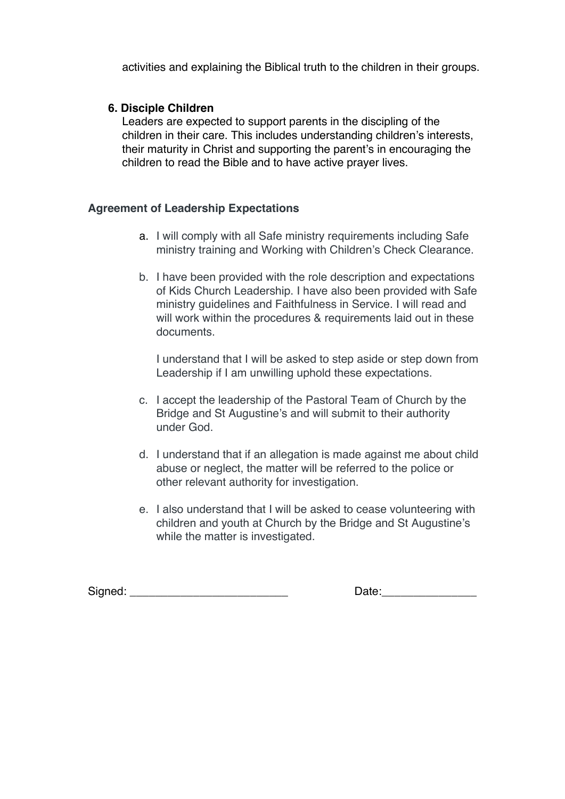activities and explaining the Biblical truth to the children in their groups.

#### **6. Disciple Children**

Leaders are expected to support parents in the discipling of the children in their care. This includes understanding children's interests, their maturity in Christ and supporting the parent's in encouraging the children to read the Bible and to have active prayer lives.

#### **Agreement of Leadership Expectations**

- a. I will comply with all Safe ministry requirements including Safe ministry training and Working with Children's Check Clearance.
- b. I have been provided with the role description and expectations of Kids Church Leadership. I have also been provided with Safe ministry guidelines and Faithfulness in Service. I will read and will work within the procedures & requirements laid out in these documents.

I understand that I will be asked to step aside or step down from Leadership if I am unwilling uphold these expectations.

- c. I accept the leadership of the Pastoral Team of Church by the Bridge and St Augustine's and will submit to their authority under God.
- d. I understand that if an allegation is made against me about child abuse or neglect, the matter will be referred to the police or other relevant authority for investigation.
- e. I also understand that I will be asked to cease volunteering with children and youth at Church by the Bridge and St Augustine's while the matter is investigated.

Signed: \_\_\_\_\_\_\_\_\_\_\_\_\_\_\_\_\_\_\_\_\_\_\_\_\_ Date:\_\_\_\_\_\_\_\_\_\_\_\_\_\_\_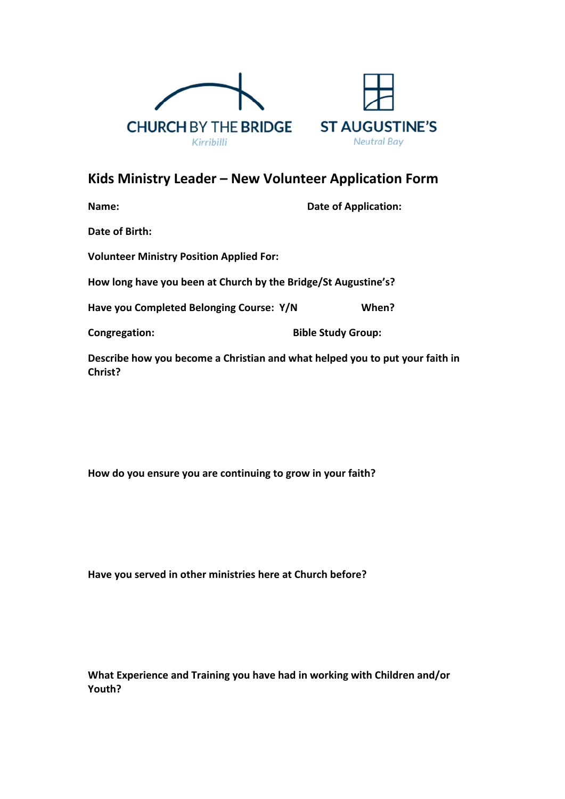



# **Kids Ministry Leader – New Volunteer Application Form**

| Name:                                                                 | <b>Date of Application:</b> |  |  |
|-----------------------------------------------------------------------|-----------------------------|--|--|
| Date of Birth:                                                        |                             |  |  |
| <b>Volunteer Ministry Position Applied For:</b>                       |                             |  |  |
| How long have you been at Church by the Bridge/St Augustine's?        |                             |  |  |
| Have you Completed Belonging Course: Y/N                              | When?                       |  |  |
| Congregation:                                                         | <b>Bible Study Group:</b>   |  |  |
| Describe how you become a Christian and what helped you to put your f |                             |  |  |

**Describe how you become a Christian and what helped you to put your faith in Christ?** 

**How do you ensure you are continuing to grow in your faith?**

**Have you served in other ministries here at Church before?**

**What Experience and Training you have had in working with Children and/or Youth?**